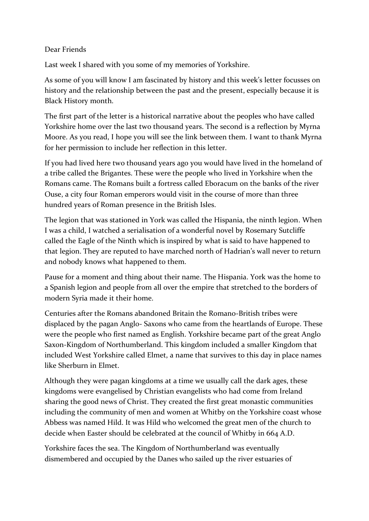## Dear Friends

Last week I shared with you some of my memories of Yorkshire.

As some of you will know I am fascinated by history and this week's letter focusses on history and the relationship between the past and the present, especially because it is Black History month.

The first part of the letter is a historical narrative about the peoples who have called Yorkshire home over the last two thousand years. The second is a reflection by Myrna Moore. As you read, I hope you will see the link between them. I want to thank Myrna for her permission to include her reflection in this letter.

If you had lived here two thousand years ago you would have lived in the homeland of a tribe called the Brigantes. These were the people who lived in Yorkshire when the Romans came. The Romans built a fortress called Eboracum on the banks of the river Ouse, a city four Roman emperors would visit in the course of more than three hundred years of Roman presence in the British Isles.

The legion that was stationed in York was called the Hispania, the ninth legion. When I was a child, I watched a serialisation of a wonderful novel by Rosemary Sutcliffe called the Eagle of the Ninth which is inspired by what is said to have happened to that legion. They are reputed to have marched north of Hadrian's wall never to return and nobody knows what happened to them.

Pause for a moment and thing about their name. The Hispania. York was the home to a Spanish legion and people from all over the empire that stretched to the borders of modern Syria made it their home.

Centuries after the Romans abandoned Britain the Romano-British tribes were displaced by the pagan Anglo- Saxons who came from the heartlands of Europe. These were the people who first named as English. Yorkshire became part of the great Anglo Saxon-Kingdom of Northumberland. This kingdom included a smaller Kingdom that included West Yorkshire called Elmet, a name that survives to this day in place names like Sherburn in Elmet.

Although they were pagan kingdoms at a time we usually call the dark ages, these kingdoms were evangelised by Christian evangelists who had come from Ireland sharing the good news of Christ. They created the first great monastic communities including the community of men and women at Whitby on the Yorkshire coast whose Abbess was named Hild. It was Hild who welcomed the great men of the church to decide when Easter should be celebrated at the council of Whitby in 664 A.D.

Yorkshire faces the sea. The Kingdom of Northumberland was eventually dismembered and occupied by the Danes who sailed up the river estuaries of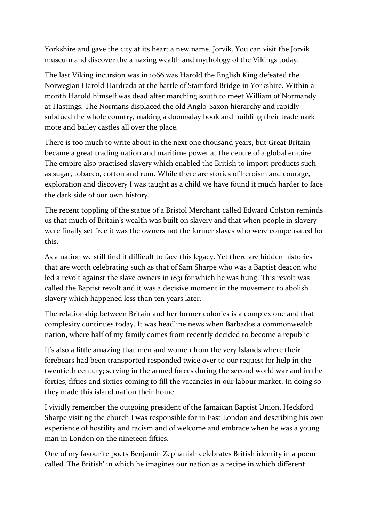Yorkshire and gave the city at its heart a new name. Jorvik. You can visit the Jorvik museum and discover the amazing wealth and mythology of the Vikings today.

The last Viking incursion was in 1066 was Harold the English King defeated the Norwegian Harold Hardrada at the battle of Stamford Bridge in Yorkshire. Within a month Harold himself was dead after marching south to meet William of Normandy at Hastings. The Normans displaced the old Anglo-Saxon hierarchy and rapidly subdued the whole country, making a doomsday book and building their trademark mote and bailey castles all over the place.

There is too much to write about in the next one thousand years, but Great Britain became a great trading nation and maritime power at the centre of a global empire. The empire also practised slavery which enabled the British to import products such as sugar, tobacco, cotton and rum. While there are stories of heroism and courage, exploration and discovery I was taught as a child we have found it much harder to face the dark side of our own history.

The recent toppling of the statue of a Bristol Merchant called Edward Colston reminds us that much of Britain's wealth was built on slavery and that when people in slavery were finally set free it was the owners not the former slaves who were compensated for this.

As a nation we still find it difficult to face this legacy. Yet there are hidden histories that are worth celebrating such as that of Sam Sharpe who was a Baptist deacon who led a revolt against the slave owners in 1831 for which he was hung. This revolt was called the Baptist revolt and it was a decisive moment in the movement to abolish slavery which happened less than ten years later.

The relationship between Britain and her former colonies is a complex one and that complexity continues today. It was headline news when Barbados a commonwealth nation, where half of my family comes from recently decided to become a republic

It's also a little amazing that men and women from the very Islands where their forebears had been transported responded twice over to our request for help in the twentieth century; serving in the armed forces during the second world war and in the forties, fifties and sixties coming to fill the vacancies in our labour market. In doing so they made this island nation their home.

I vividly remember the outgoing president of the Jamaican Baptist Union, Heckford Sharpe visiting the church I was responsible for in East London and describing his own experience of hostility and racism and of welcome and embrace when he was a young man in London on the nineteen fifties.

One of my favourite poets Benjamin Zephaniah celebrates British identity in a poem called 'The British' in which he imagines our nation as a recipe in which different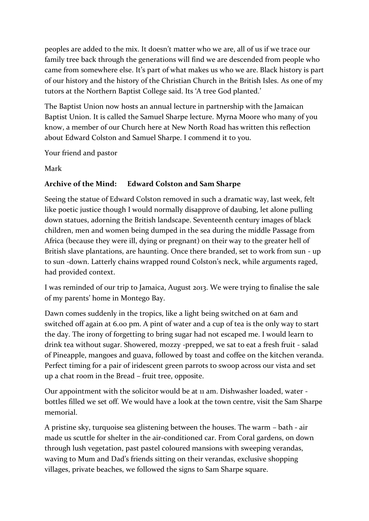peoples are added to the mix. It doesn't matter who we are, all of us if we trace our family tree back through the generations will find we are descended from people who came from somewhere else. It's part of what makes us who we are. Black history is part of our history and the history of the Christian Church in the British Isles. As one of my tutors at the Northern Baptist College said. Its 'A tree God planted.'

The Baptist Union now hosts an annual lecture in partnership with the Jamaican Baptist Union. It is called the Samuel Sharpe lecture. Myrna Moore who many of you know, a member of our Church here at New North Road has written this reflection about Edward Colston and Samuel Sharpe. I commend it to you.

Your friend and pastor

Mark

## **Archive of the Mind: Edward Colston and Sam Sharpe**

Seeing the statue of Edward Colston removed in such a dramatic way, last week, felt like poetic justice though I would normally disapprove of daubing, let alone pulling down statues, adorning the British landscape. Seventeenth century images of black children, men and women being dumped in the sea during the middle Passage from Africa (because they were ill, dying or pregnant) on their way to the greater hell of British slave plantations, are haunting. Once there branded, set to work from sun - up to sun -down. Latterly chains wrapped round Colston's neck, while arguments raged, had provided context.

I was reminded of our trip to Jamaica, August 2013. We were trying to finalise the sale of my parents' home in Montego Bay.

Dawn comes suddenly in the tropics, like a light being switched on at 6am and switched off again at 6.00 pm. A pint of water and a cup of tea is the only way to start the day. The irony of forgetting to bring sugar had not escaped me. I would learn to drink tea without sugar. Showered, mozzy -prepped, we sat to eat a fresh fruit - salad of Pineapple, mangoes and guava, followed by toast and coffee on the kitchen veranda. Perfect timing for a pair of iridescent green parrots to swoop across our vista and set up a chat room in the Bread – fruit tree, opposite.

Our appointment with the solicitor would be at 11 am. Dishwasher loaded, water bottles filled we set off. We would have a look at the town centre, visit the Sam Sharpe memorial.

A pristine sky, turquoise sea glistening between the houses. The warm – bath - air made us scuttle for shelter in the air-conditioned car. From Coral gardens, on down through lush vegetation, past pastel coloured mansions with sweeping verandas, waving to Mum and Dad's friends sitting on their verandas, exclusive shopping villages, private beaches, we followed the signs to Sam Sharpe square.